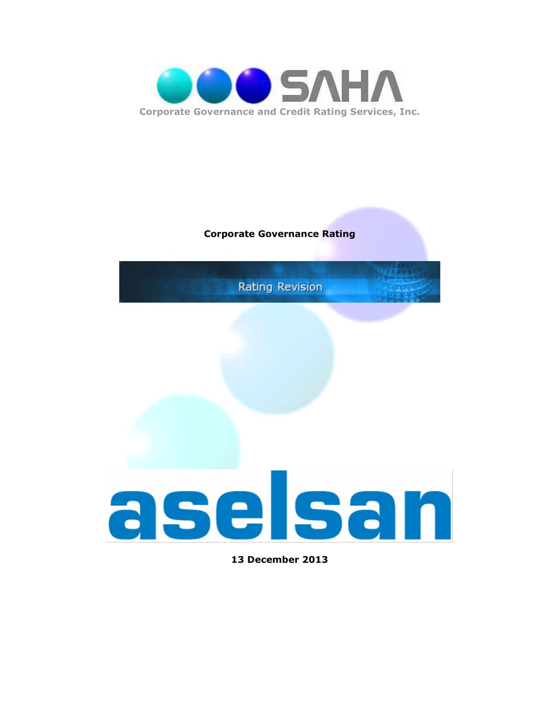

# **Corporate Governance Rating**



**13 December 2013**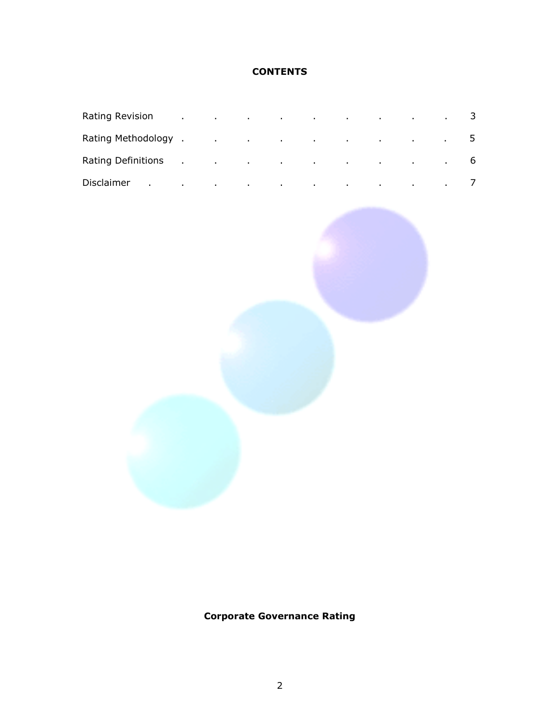# **CONTENTS**

| Rating Revision                                                                                                                                                                                                                | $\sim$            |                   |  | the contract of the contract of the contract of the contract of the             |  |  |   |
|--------------------------------------------------------------------------------------------------------------------------------------------------------------------------------------------------------------------------------|-------------------|-------------------|--|---------------------------------------------------------------------------------|--|--|---|
| Rating Methodology . The contract of the contract of the contract of the contract of the contract of the contract of the contract of the contract of the contract of the contract of the contract of the contract of the contr |                   |                   |  |                                                                                 |  |  |   |
| Rating Definitions .                                                                                                                                                                                                           |                   |                   |  | the contract of the contract of the contract of the contract of the contract of |  |  | b |
| Disclaimer                                                                                                                                                                                                                     | <b>Contractor</b> | <b>Contractor</b> |  | the contract of the contract of the contract of the contract of the             |  |  |   |



# **Corporate Governance Rating**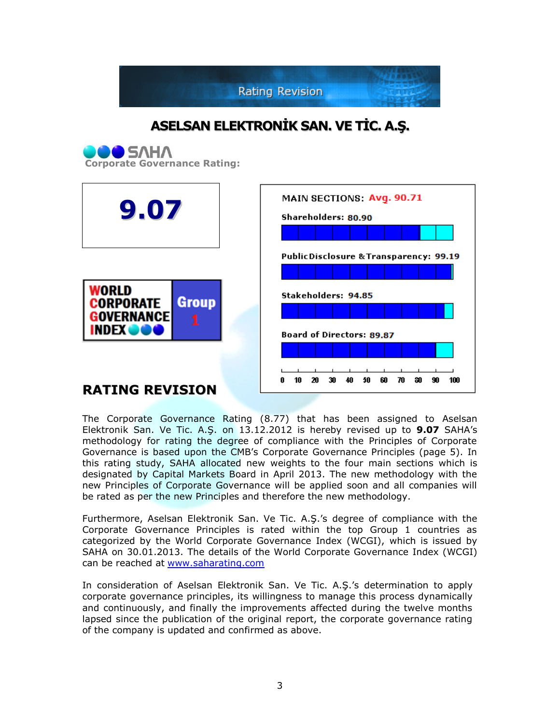

**Rating Revision** 

The Corporate Governance Rating (8.77) that has been assigned to Aselsan Elektronik San. Ve Tic. A.Ş. on 13.12.2012 is hereby revised up to **9.07** SAHA's methodology for rating the degree of compliance with the Principles of Corporate Governance is based upon the CMB's Corporate Governance Principles (page 5). In this rating study, SAHA allocated new weights to the four main sections which is designated by Capital Markets Board in April 2013. The new methodology with the new Principles of Corporate Governance will be applied soon and all companies will be rated as per the new Principles and therefore the new methodology.

Furthermore, Aselsan Elektronik San. Ve Tic. A.Ş.'s degree of compliance with the Corporate Governance Principles is rated within the top Group 1 countries as categorized by the World Corporate Governance Index (WCGI), which is issued by SAHA on 30.01.2013. The details of the World Corporate Governance Index (WCGI) can be reached at [www.saharating.com](http://www.saharating.com/)

In consideration of Aselsan Elektronik San. Ve Tic. A.Ş.'s determination to apply corporate governance principles, its willingness to manage this process dynamically and continuously, and finally the improvements affected during the twelve months lapsed since the publication of the original report, the corporate governance rating of the company is updated and confirmed as above.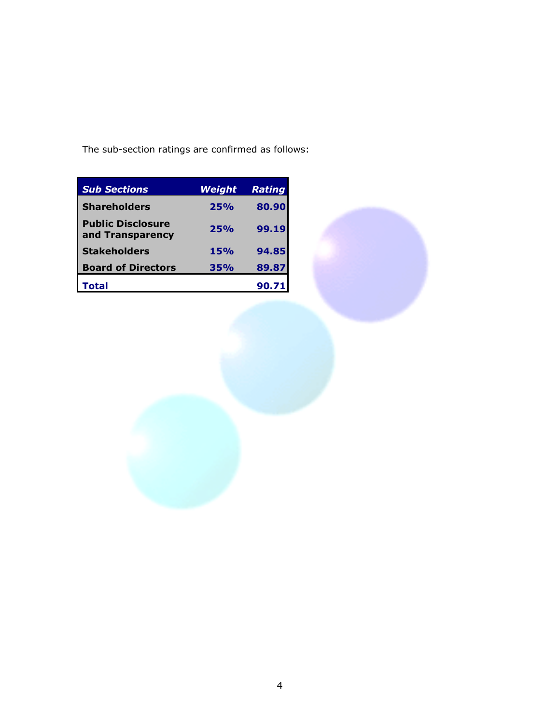The sub-section ratings are confirmed as follows:

| <b>Sub Sections</b>                          | Weight | <b>Rating</b> |
|----------------------------------------------|--------|---------------|
| <b>Shareholders</b>                          | 25%    | 80.90         |
| <b>Public Disclosure</b><br>and Transparency | 25%    | 99.19         |
| <b>Stakeholders</b>                          | 15%    | 94.85         |
| <b>Board of Directors</b>                    | 35%    | 89.87         |
| Total                                        |        |               |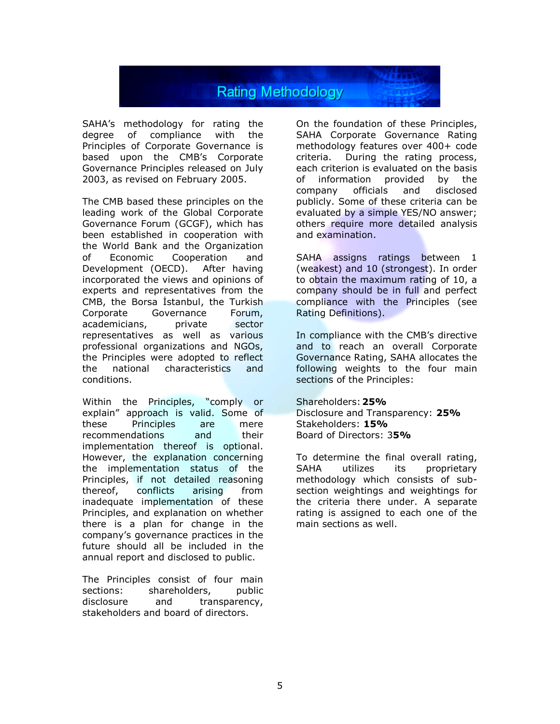

SAHA's methodology for rating the degree of compliance with the Principles of Corporate Governance is based upon the CMB's Corporate Governance Principles released on July 2003, as revised on February 2005.

The CMB based these principles on the leading work of the Global Corporate Governance Forum (GCGF), which has been established in cooperation with the World Bank and the Organization of Economic Cooperation and Development (OECD). After having incorporated the views and opinions of experts and representatives from the CMB, the Borsa İstanbul, the Turkish Corporate Governance Forum, academicians, private sector representatives as well as various professional organizations and NGOs, the Principles were adopted to reflect the national characteristics and conditions.

Within the Principles, "comply or explain" approach is valid. Some of these Principles are mere recommendations and their implementation thereof is optional. However, the explanation concerning the implementation status of the Principles, if not detailed reasoning thereof, conflicts arising from inadequate implementation of these Principles, and explanation on whether there is a plan for change in the company's governance practices in the future should all be included in the annual report and disclosed to public.

The Principles consist of four main sections: shareholders, public disclosure and transparency, stakeholders and board of directors.

On the foundation of these Principles, SAHA Corporate Governance Rating methodology features over 400+ code criteria. During the rating process, each criterion is evaluated on the basis of information provided by the company officials and disclosed publicly. Some of these criteria can be evaluated by a simple YES/NO answer; others require more detailed analysis and examination.

SAHA assigns ratings between 1 (weakest) and 10 (strongest). In order to obtain the maximum rating of 10, a company should be in full and perfect compliance with the Principles (see Rating Definitions).

In compliance with the CMB's directive and to reach an overall Corporate Governance Rating, SAHA allocates the following weights to the four main sections of the Principles:

Shareholders:**25%** Disclosure and Transparency: **25%** Stakeholders: **15%** Board of Directors: 3**5%**

To determine the final overall rating, SAHA utilizes its proprietary methodology which consists of subsection weightings and weightings for the criteria there under. A separate rating is assigned to each one of the main sections as well.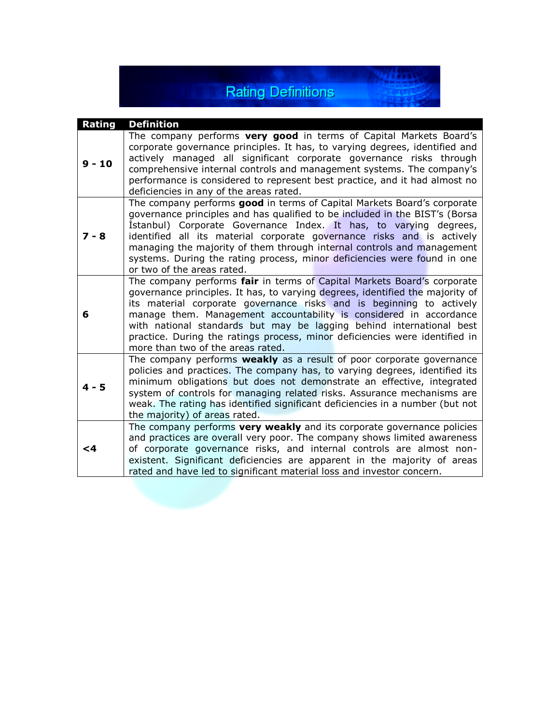|          | <b>Rating Definitions</b>                                                                                                                                                                                                                                                                                                                                                                                                                                                                          |
|----------|----------------------------------------------------------------------------------------------------------------------------------------------------------------------------------------------------------------------------------------------------------------------------------------------------------------------------------------------------------------------------------------------------------------------------------------------------------------------------------------------------|
| Rating   | <b>Definition</b>                                                                                                                                                                                                                                                                                                                                                                                                                                                                                  |
| $9 - 10$ | The company performs very good in terms of Capital Markets Board's<br>corporate governance principles. It has, to varying degrees, identified and<br>actively managed all significant corporate governance risks through<br>comprehensive internal controls and management systems. The company's<br>performance is considered to represent best practice, and it had almost no<br>deficiencies in any of the areas rated.                                                                         |
| 7 - 8    | The company performs good in terms of Capital Markets Board's corporate<br>governance principles and has qualified to be included in the BIST's (Borsa<br>Istanbul) Corporate Governance Index. It has, to varying degrees,<br>identified all its material corporate governance risks and is actively<br>managing the majority of them through internal controls and management<br>systems. During the rating process, minor deficiencies were found in one<br>or two of the areas rated.          |
| 6        | The company performs fair in terms of Capital Markets Board's corporate<br>governance principles. It has, to varying degrees, identified the majority of<br>its material corporate governance risks and is beginning to actively<br>manage them. Management accountability is considered in accordance<br>with national standards but may be lagging behind international best<br>practice. During the ratings process, minor deficiencies were identified in<br>more than two of the areas rated. |
| - 5      | The company performs weakly as a result of poor corporate governance<br>policies and practices. The company has, to varying degrees, identified its<br>minimum obligations but does not demonstrate an effective, integrated<br>system of controls for managing related risks. Assurance mechanisms are<br>weak. The rating has identified significant deficiencies in a number (but not<br>the majority) of areas rated.                                                                          |
| -4       | The company performs very weakly and its corporate governance policies<br>and practices are overall very poor. The company shows limited awareness<br>of corporate governance risks, and internal controls are almost non-<br>existent. Significant deficiencies are apparent in the majority of areas<br>rated and have led to significant material loss and investor concern.                                                                                                                    |